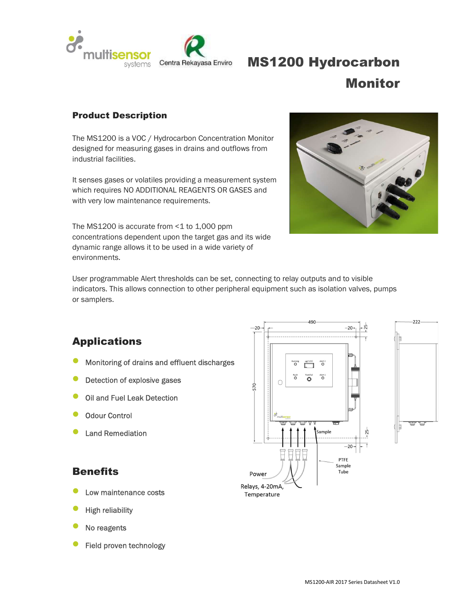

# MS1200 Hydrocarbon Monitor

#### Product Description

The MS1200 is a VOC / Hydrocarbon Concentration Monitor designed for measuring gases in drains and outflows from industrial facilities.

It senses gases or volatiles providing a measurement system which requires NO ADDITIONAL REAGENTS OR GASES and with very low maintenance requirements.

The MS1200 is accurate from <1 to 1,000 ppm concentrations dependent upon the target gas and its wide dynamic range allows it to be used in a wide variety of environments.



 $222$ 

User programmable Alert thresholds can be set, connecting to relay outputs and to visible indicators. This allows connection to other peripheral equipment such as isolation valves, pumps or samplers.

# Applications

- Monitoring of drains and effluent discharges
- Detection of explosive gases
- Oil and Fuel Leak Detection
- Odour Control
- Land Remediation

#### **Benefits** Power

- Low maintenance costs
- High reliability
- No reagents
- Field proven technology